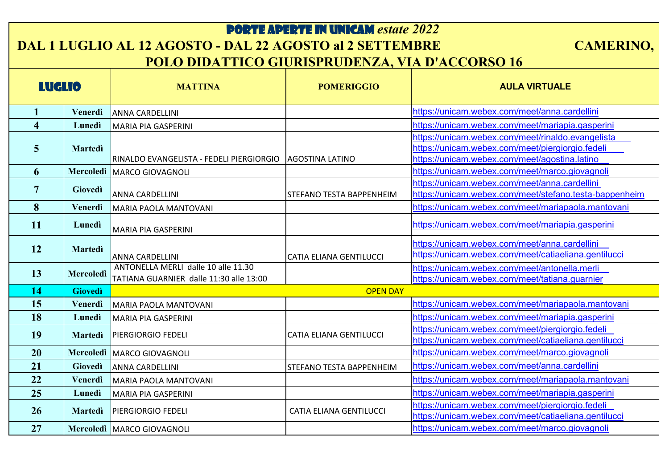## PORTE APERTE IN UNICAM *estate 2022*

## **DAL 1 LUGLIO AL 12 AGOSTO - DAL 22 AGOSTO al 2 SETTEMBRE CAMERINO, POLO DIDATTICO GIURISPRUDENZA, VIA D'ACCORSO 16**

| <b>LUGLIO</b>           |                | <b>MATTINA</b>                                                                 | <b>POMERIGGIO</b>              | <b>AULA VIRTUALE</b>                                                                                                                                   |
|-------------------------|----------------|--------------------------------------------------------------------------------|--------------------------------|--------------------------------------------------------------------------------------------------------------------------------------------------------|
|                         | Venerdì        | <b>ANNA CARDELLINI</b>                                                         |                                | https://unicam.webex.com/meet/anna.cardellini                                                                                                          |
| $\overline{\mathbf{4}}$ | Lunedì         | <b>MARIA PIA GASPERINI</b>                                                     |                                | https://unicam.webex.com/meet/mariapia.gasperini                                                                                                       |
| $\overline{5}$          | <b>Martedì</b> | RINALDO EVANGELISTA - FEDELI PIERGIORGIO                                       | <b>AGOSTINA LATINO</b>         | https://unicam.webex.com/meet/rinaldo.evangelista<br>https://unicam.webex.com/meet/piergiorgio.fedeli<br>https://unicam.webex.com/meet/agostina.latino |
| 6                       |                | Mercoledì   MARCO GIOVAGNOLI                                                   |                                | https://unicam.webex.com/meet/marco.giovagnoli                                                                                                         |
|                         | <b>Giovedì</b> | <b>ANNA CARDELLINI</b>                                                         | STEFANO TESTA BAPPENHEIM       | https://unicam.webex.com/meet/anna.cardellini<br>https://unicam.webex.com/meet/stefano.testa-bappenheim                                                |
| 8                       | Venerdì        | MARIA PAOLA MANTOVANI                                                          |                                | https://unicam.webex.com/meet/mariapaola.mantovani                                                                                                     |
| <b>11</b>               | Lunedì         | <b>MARIA PIA GASPERINI</b>                                                     |                                | https://unicam.webex.com/meet/mariapia.gasperini                                                                                                       |
| 12                      | <b>Martedì</b> | <b>ANNA CARDELLINI</b>                                                         | <b>CATIA ELIANA GENTILUCCI</b> | https://unicam.webex.com/meet/anna.cardellini<br>https://unicam.webex.com/meet/catiaeliana.gentilucci                                                  |
| 13                      | Mercoledì      | ANTONELLA MERLI dalle 10 alle 11.30<br>TATIANA GUARNIER dalle 11:30 alle 13:00 |                                | https://unicam.webex.com/meet/antonella.merli<br>https://unicam.webex.com/meet/tatiana.guarnier                                                        |
| 14                      | <b>Giovedì</b> | <b>OPEN DAY</b>                                                                |                                |                                                                                                                                                        |
| 15                      | Venerdì        | MARIA PAOLA MANTOVANI                                                          |                                | https://unicam.webex.com/meet/mariapaola.mantovani                                                                                                     |
| 18                      | Lunedì         | <b>MARIA PIA GASPERINI</b>                                                     |                                | https://unicam.webex.com/meet/mariapia.gasperini                                                                                                       |
| 19                      | <b>Martedì</b> | <b>PIERGIORGIO FEDELI</b>                                                      | CATIA ELIANA GENTILUCCI        | https://unicam.webex.com/meet/piergiorgio.fedeli<br>https://unicam.webex.com/meet/catiaeliana.gentilucci                                               |
| 20                      |                | Mercoledì MARCO GIOVAGNOLI                                                     |                                | https://unicam.webex.com/meet/marco.giovagnoli                                                                                                         |
| 21                      | <b>Giovedì</b> | <b>ANNA CARDELLINI</b>                                                         | STEFANO TESTA BAPPENHEIM       | https://unicam.webex.com/meet/anna.cardellini                                                                                                          |
| 22                      | Venerdì        | MARIA PAOLA MANTOVANI                                                          |                                | https://unicam.webex.com/meet/mariapaola.mantovani                                                                                                     |
| 25                      | Lunedì         | <b>MARIA PIA GASPERINI</b>                                                     |                                | https://unicam.webex.com/meet/mariapia.gasperini                                                                                                       |
| 26                      | <b>Martedì</b> | <b>PIERGIORGIO FEDELI</b>                                                      | <b>CATIA ELIANA GENTILUCCI</b> | https://unicam.webex.com/meet/piergiorgio.fedeli<br>https://unicam.webex.com/meet/catiaeliana.gentilucci                                               |
| 27                      |                | Mercoledì   MARCO GIOVAGNOLI                                                   |                                | https://unicam.webex.com/meet/marco.giovagnoli                                                                                                         |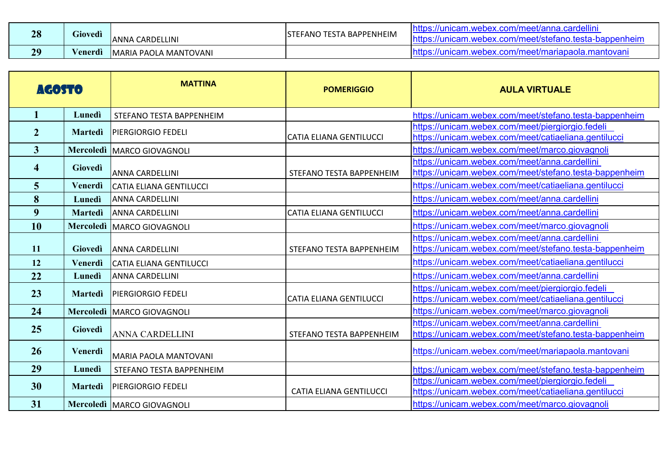| 28        | Giovedi                   | <b>ANNA CARDELLINI</b> | <b>TESTA BAPPENHEIM</b><br>-FANO<br>ISTI | ardellin<br>yanr<br>ne.<br>ippenhein<br><b>MADAY</b>                     |
|-----------|---------------------------|------------------------|------------------------------------------|--------------------------------------------------------------------------|
| 20<br>- 2 | $\mathbf{r}$<br>√enerdì ∣ | MARIA PAOLA MANTOVANI  |                                          | ∵com/meet/mariapaola.mantovan.<br>$\mathcal{L}$<br>//unicam<br>` Webex.⊾ |

| <b>AGOSTO</b>  |                | <b>MATTINA</b>                 | <b>POMERIGGIO</b>              | <b>AULA VIRTUALE</b>                                                                                     |
|----------------|----------------|--------------------------------|--------------------------------|----------------------------------------------------------------------------------------------------------|
|                | Lunedì         | STEFANO TESTA BAPPENHEIM       |                                | https://unicam.webex.com/meet/stefano.testa-bappenheim                                                   |
| $\overline{2}$ | <b>Martedi</b> | <b>PIERGIORGIO FEDELI</b>      | <b>CATIA ELIANA GENTILUCCI</b> | https://unicam.webex.com/meet/piergiorgio.fedeli<br>https://unicam.webex.com/meet/catiaeliana.gentilucci |
| 3 <sup>1</sup> |                | Mercoledì   MARCO GIOVAGNOLI   |                                | https://unicam.webex.com/meet/marco.giovagnoli                                                           |
| 4              | Giovedì        | <b>ANNA CARDELLINI</b>         | STEFANO TESTA BAPPENHEIM       | https://unicam.webex.com/meet/anna.cardellini<br>https://unicam.webex.com/meet/stefano.testa-bappenheim  |
| 5              | Venerdì        | <b>CATIA ELIANA GENTILUCCI</b> |                                | https://unicam.webex.com/meet/catiaeliana.gentilucci                                                     |
| 8              | Lunedì         | <b>ANNA CARDELLINI</b>         |                                | https://unicam.webex.com/meet/anna.cardellini                                                            |
| 9              | <b>Martedì</b> | <b>ANNA CARDELLINI</b>         | <b>CATIA ELIANA GENTILUCCI</b> | https://unicam.webex.com/meet/anna.cardellini                                                            |
| 10             | Mercoledì      | MARCO GIOVAGNOLI               |                                | https://unicam.webex.com/meet/marco.giovagnoli                                                           |
| 11             | Giovedì        | <b>ANNA CARDELLINI</b>         | STEFANO TESTA BAPPENHEIM       | https://unicam.webex.com/meet/anna.cardellini<br>https://unicam.webex.com/meet/stefano.testa-bappenheim  |
| 12             | Venerdì        | <b>CATIA ELIANA GENTILUCCI</b> |                                | https://unicam.webex.com/meet/catiaeliana.gentilucci                                                     |
| 22             | Lunedì         | <b>ANNA CARDELLINI</b>         |                                | https://unicam.webex.com/meet/anna.cardellini                                                            |
| 23             | <b>Martedì</b> | <b>PIERGIORGIO FEDELI</b>      | <b>CATIA ELIANA GENTILUCCI</b> | https://unicam.webex.com/meet/piergiorgio.fedeli<br>https://unicam.webex.com/meet/catiaeliana.gentilucci |
| 24             |                | Mercoledì   MARCO GIOVAGNOLI   |                                | https://unicam.webex.com/meet/marco.giovagnoli                                                           |
| 25             | Giovedì        | <b>ANNA CARDELLINI</b>         | STEFANO TESTA BAPPENHEIM       | https://unicam.webex.com/meet/anna.cardellini<br>https://unicam.webex.com/meet/stefano.testa-bappenheim  |
| 26             | <b>Venerdì</b> | MARIA PAOLA MANTOVANI          |                                | https://unicam.webex.com/meet/mariapaola.mantovani                                                       |
| 29             | Lunedì         | STEFANO TESTA BAPPENHEIM       |                                | https://unicam.webex.com/meet/stefano.testa-bappenheim                                                   |
| 30             | <b>Martedì</b> | <b>PIERGIORGIO FEDELI</b>      | <b>CATIA ELIANA GENTILUCCI</b> | https://unicam.webex.com/meet/piergiorgio.fedeli<br>https://unicam.webex.com/meet/catiaeliana.gentilucci |
| 31             |                | Mercoledì   MARCO GIOVAGNOLI   |                                | https://unicam.webex.com/meet/marco.giovagnoli                                                           |